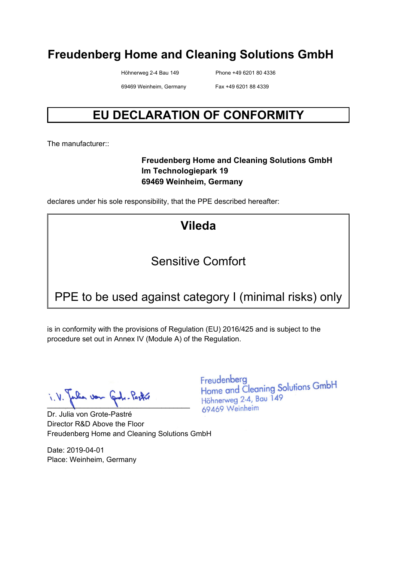Höhnerweg 2-4 Bau 149 Phone +49 6201 80 4336

69469 Weinheim, Germany Fax +49 6201 88 4339

# **EU DECLARATION OF CONFORMITY**

The manufacturer:

#### **Freudenberg Home and Cleaning Solutions GmbH Im Technologiepark 19 69469 Weinheim, Germany**

declares under his sole responsibility, that the PPE described hereafter:

**Vileda** 

# Sensitive Comfort

# PPE to be used against category I (minimal risks) only

is in conformity with the provisions of Regulation (EU) 2016/425 and is subject to the procedure set out in Annex IV (Module A) of the Regulation.

 $\blacksquare$ 

Dr. Julia von Grote-Pastré Director R&D Above the Floor Freudenberg Home and Cleaning Solutions GmbH

Date: 2019-04-01 Place: Weinheim, Germany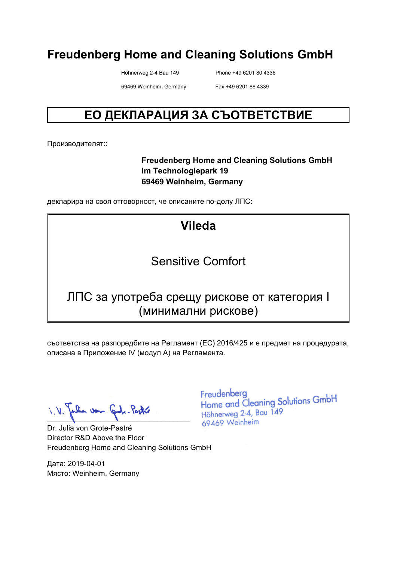Höhnerweg 2-4 Bau 149 Phone +49 6201 80 4336

69469 Weinheim, Germany Fax +49 6201 88 4339

# **ЕО ДЕКЛАРАЦИЯ ЗА СЪОТВЕТСТВИЕ**

Производителят::

#### **Freudenberg Home and Cleaning Solutions GmbH Im Technologiepark 19 69469 Weinheim, Germany**

декларира на своя отговорност, че описаните по-долу ЛПС:

# **Vileda**

# Sensitive Comfort

#### ЛПС за употреба срещу рискове от категория I (минимални рискове)

съответства на разпоредбите на Регламент (ЕС) 2016/425 и е предмет на процедурата, описана в Приложение IV (модул A) на Регламента.

 $\blacksquare$ 

Dr. Julia von Grote-Pastré Director R&D Above the Floor Freudenberg Home and Cleaning Solutions GmbH

Дата: 2019-04-01 Място: Weinheim, Germany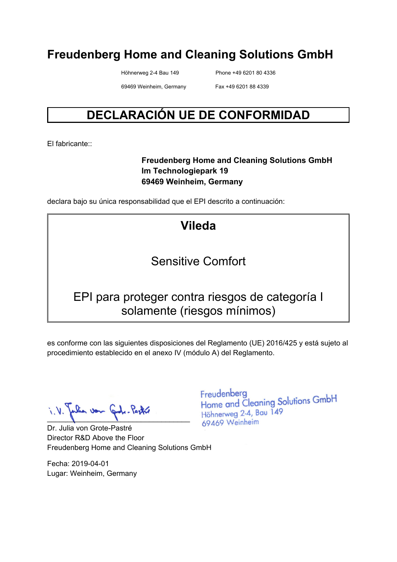Höhnerweg 2-4 Bau 149 Phone +49 6201 80 4336

69469 Weinheim, Germany Fax +49 6201 88 4339

# **DECLARACIÓN UE DE CONFORMIDAD**

El fabricante::

#### **Freudenberg Home and Cleaning Solutions GmbH Im Technologiepark 19 69469 Weinheim, Germany**

declara bajo su única responsabilidad que el EPI descrito a continuación:

**Vileda** 

#### Sensitive Comfort

#### EPI para proteger contra riesgos de categoría I solamente (riesgos mínimos)

es conforme con las siguientes disposiciones del Reglamento (UE) 2016/425 y está sujeto al procedimiento establecido en el anexo IV (módulo A) del Reglamento.

 $\blacksquare$ 

Dr. Julia von Grote-Pastré Director R&D Above the Floor Freudenberg Home and Cleaning Solutions GmbH

Fecha: 2019-04-01 Lugar: Weinheim, Germany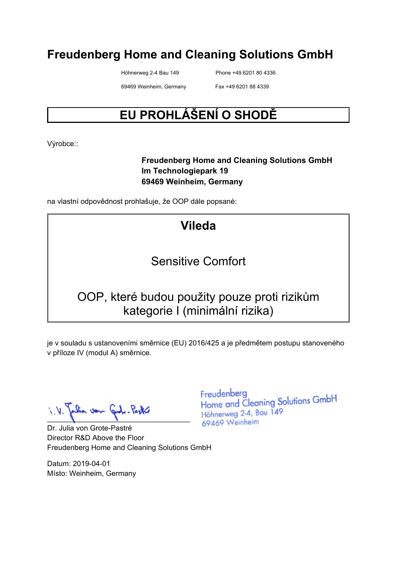Höhnerweg 2-4 Bau 149 Phone +49 6201 80 4336

69469 Weinheim, Germany Fax +49 6201 88 4339

# **EU PROHLÁŠENÍ O SHODĚ**

Výrobce::

#### **Freudenberg Home and Cleaning Solutions GmbH Im Technologiepark 19 69469 Weinheim, Germany**

na vlastní odpovědnost prohlašuje, že OOP dále popsané:

# **Vileda**

#### Sensitive Comfort

# OOP, které budou použity pouze proti rizikům kategorie I (minimální rizika)

je v souladu s ustanoveními směrnice (EU) 2016/425 a je předmětem postupu stanoveného v příloze IV (modul A) směrnice.

 $\blacksquare$ 

Dr. Julia von Grote-Pastré Director R&D Above the Floor Freudenberg Home and Cleaning Solutions GmbH

Datum: 2019-04-01 Místo: Weinheim, Germany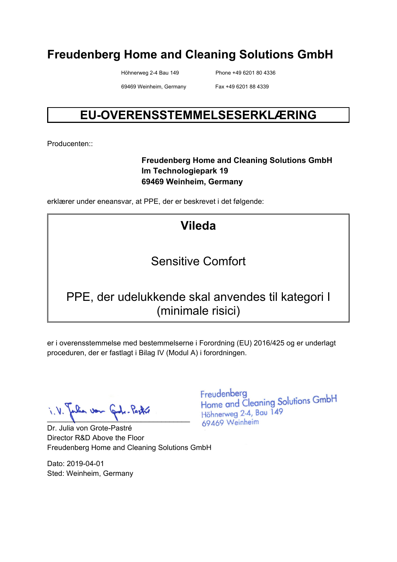Höhnerweg 2-4 Bau 149 Phone +49 6201 80 4336

69469 Weinheim, Germany Fax +49 6201 88 4339

# **EU-OVERENSSTEMMELSESERKLÆRING**

Producenten::

#### **Freudenberg Home and Cleaning Solutions GmbH Im Technologiepark 19 69469 Weinheim, Germany**

erklærer under eneansvar, at PPE, der er beskrevet i det følgende:

# **Vileda**

# Sensitive Comfort

# PPE, der udelukkende skal anvendes til kategori I (minimale risici)

er i overensstemmelse med bestemmelserne i Forordning (EU) 2016/425 og er underlagt proceduren, der er fastlagt i Bilag IV (Modul A) i forordningen.

 $\blacksquare$ 

Dr. Julia von Grote-Pastré Director R&D Above the Floor Freudenberg Home and Cleaning Solutions GmbH

Dato: 2019-04-01 Sted: Weinheim, Germany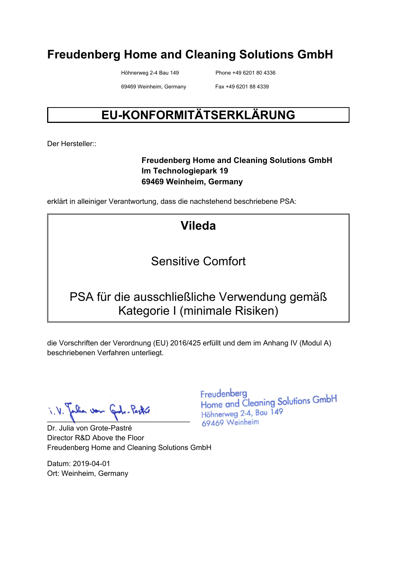Höhnerweg 2-4 Bau 149 Phone +49 6201 80 4336

69469 Weinheim, Germany Fax +49 6201 88 4339

# **EU-KONFORMITÄTSERKLÄRUNG**

Der Hersteller::

#### **Freudenberg Home and Cleaning Solutions GmbH Im Technologiepark 19 69469 Weinheim, Germany**

erklärt in alleiniger Verantwortung, dass die nachstehend beschriebene PSA:

# **Vileda**

#### Sensitive Comfort

# PSA für die ausschließliche Verwendung gemäß Kategorie I (minimale Risiken)

die Vorschriften der Verordnung (EU) 2016/425 erfüllt und dem im Anhang IV (Modul A) beschriebenen Verfahren unterliegt.

pulia von Gode-Pastre

Dr. Julia von Grote-Pastré Director R&D Above the Floor Freudenberg Home and Cleaning Solutions GmbH

Datum: 2019-04-01 Ort: Weinheim, Germany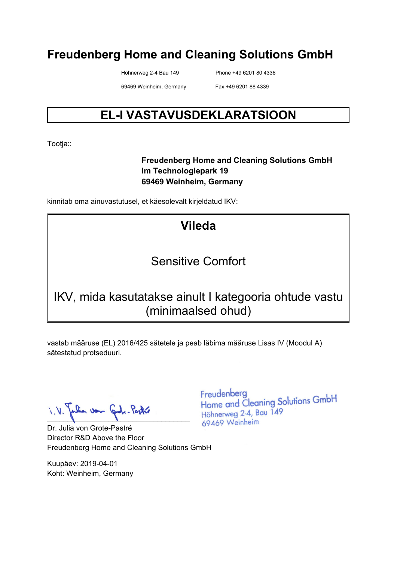Höhnerweg 2-4 Bau 149 Phone +49 6201 80 4336

69469 Weinheim, Germany Fax +49 6201 88 4339

# **EL-I VASTAVUSDEKLARATSIOON**

Tootja::

#### **Freudenberg Home and Cleaning Solutions GmbH Im Technologiepark 19 69469 Weinheim, Germany**

kinnitab oma ainuvastutusel, et käesolevalt kirjeldatud IKV:

# **Vileda**

# Sensitive Comfort

# IKV, mida kasutatakse ainult I kategooria ohtude vastu (minimaalsed ohud)

vastab määruse (EL) 2016/425 sätetele ja peab läbima määruse Lisas IV (Moodul A) sätestatud protseduuri.

lia von Grobe-Pastre  $\blacksquare$ 

Dr. Julia von Grote-Pastré Director R&D Above the Floor Freudenberg Home and Cleaning Solutions GmbH

Kuupäev: 2019-04-01 Koht: Weinheim, Germany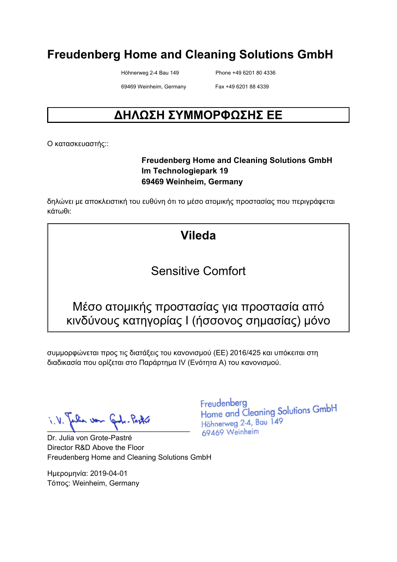Höhnerweg 2-4 Bau 149 Phone +49 6201 80 4336

69469 Weinheim, Germany Fax +49 6201 88 4339

# **ΔΗΛΩΣΗ ΣΥΜΜΟΡΦΩΣΗΣ ΕΕ**

Ο κατασκευαστής::

#### **Freudenberg Home and Cleaning Solutions GmbH Im Technologiepark 19 69469 Weinheim, Germany**

δηλώνει με αποκλειστική του ευθύνη ότι το μέσο ατομικής προστασίας που περιγράφεται κάτωθι:

# **Vileda**

#### Sensitive Comfort

#### Μέσο ατομικής προστασίας για προστασία από κινδύνους κατηγορίας I (ήσσονος σημασίας) μόνο

συμμορφώνεται προς τις διατάξεις του κανονισμού (ΕΕ) 2016/425 και υπόκειται στη διαδικασία που ορίζεται στο Παράρτημα IV (Ενότητα Α) του κανονισμού.

 $\blacksquare$ 

Dr. Julia von Grote-Pastré Director R&D Above the Floor Freudenberg Home and Cleaning Solutions GmbH

Ημερομηνία: 2019-04-01 Τόπος: Weinheim, Germany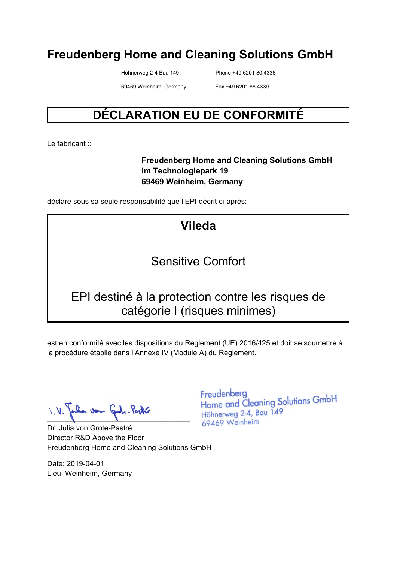Höhnerweg 2-4 Bau 149 Phone +49 6201 80 4336

69469 Weinheim, Germany Fax +49 6201 88 4339

# **DÉCLARATION EU DE CONFORMITÉ**

Le fabricant :

#### **Freudenberg Home and Cleaning Solutions GmbH Im Technologiepark 19 69469 Weinheim, Germany**

déclare sous sa seule responsabilité que l'EPI décrit ci-après:

# **Vileda**

# Sensitive Comfort

#### EPI destiné à la protection contre les risques de catégorie I (risques minimes)

est en conformité avec les dispositions du Règlement (UE) 2016/425 et doit se soumettre à la procédure établie dans l'Annexe IV (Module A) du Règlement.

 $\blacksquare$ 

Dr. Julia von Grote-Pastré Director R&D Above the Floor Freudenberg Home and Cleaning Solutions GmbH

Date: 2019-04-01 Lieu: Weinheim, Germany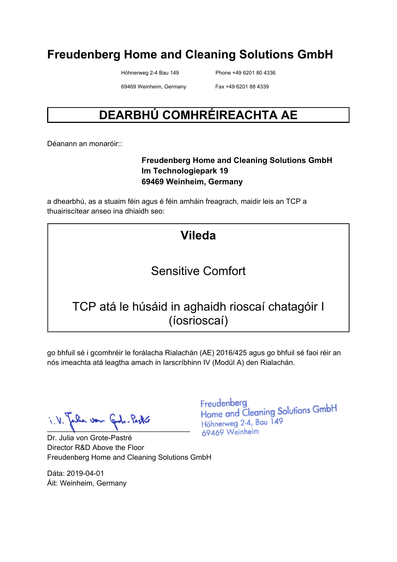Höhnerweg 2-4 Bau 149 Phone +49 6201 80 4336

69469 Weinheim, Germany Fax +49 6201 88 4339

# **DEARBHÚ COMHRÉIREACHTA AE**

Déanann an monaróir::

#### **Freudenberg Home and Cleaning Solutions GmbH Im Technologiepark 19 69469 Weinheim, Germany**

a dhearbhú, as a stuaim féin agus é féin amháin freagrach, maidir leis an TCP a thuairiscítear anseo ina dhiaidh seo:

| <b>Vileda</b>                                                    |  |
|------------------------------------------------------------------|--|
| Sensitive Comfort                                                |  |
| TCP atá le húsáid in aghaidh rioscaí chatagóir I<br>(íosrioscaí) |  |

go bhfuil sé i gcomhréir le forálacha Rialachán (AE) 2016/425 agus go bhfuil sé faoi réir an nós imeachta atá leagtha amach in Iarscríbhinn IV (Modúl A) den Rialachán.

when von Cod. Post  $\blacksquare$ 

Dr. Julia von Grote-Pastré Director R&D Above the Floor Freudenberg Home and Cleaning Solutions GmbH

Dáta: 2019-04-01 Áit: Weinheim, Germany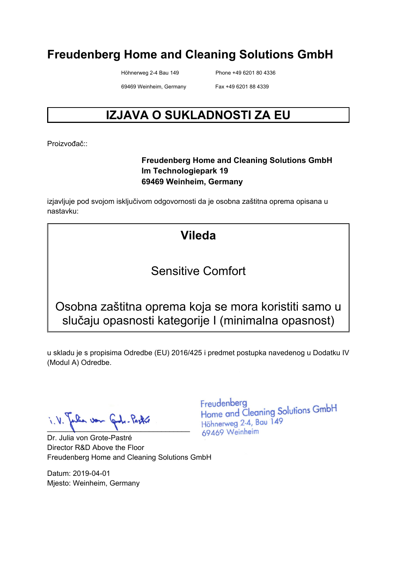Höhnerweg 2-4 Bau 149 Phone +49 6201 80 4336

69469 Weinheim, Germany Fax +49 6201 88 4339

# **IZJAVA O SUKLADNOSTI ZA EU**

Proizvođač<sup>::</sup>

#### **Freudenberg Home and Cleaning Solutions GmbH Im Technologiepark 19 69469 Weinheim, Germany**

izjavljuje pod svojom isključivom odgovornosti da je osobna zaštitna oprema opisana u nastavku:

# **Vileda**

#### Sensitive Comfort

Osobna zaštitna oprema koja se mora koristiti samo u slučaju opasnosti kategorije I (minimalna opasnost)

u skladu je s propisima Odredbe (EU) 2016/425 i predmet postupka navedenog u Dodatku IV (Modul A) Odredbe.

 $\blacksquare$ 

Dr. Julia von Grote-Pastré Director R&D Above the Floor Freudenberg Home and Cleaning Solutions GmbH

Datum: 2019-04-01 Mjesto: Weinheim, Germany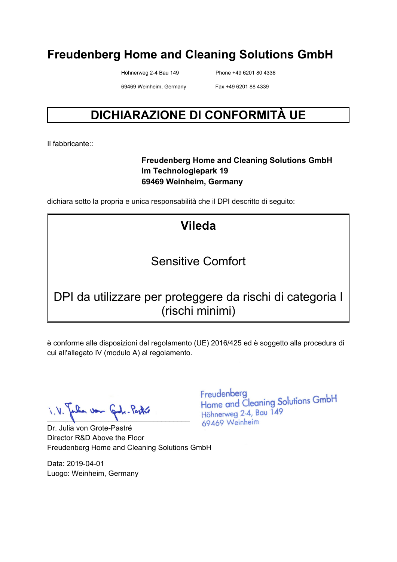Höhnerweg 2-4 Bau 149 Phone +49 6201 80 4336

69469 Weinheim, Germany Fax +49 6201 88 4339

# **DICHIARAZIONE DI CONFORMITÀ UE**

Il fabbricante::

#### **Freudenberg Home and Cleaning Solutions GmbH Im Technologiepark 19 69469 Weinheim, Germany**

dichiara sotto la propria e unica responsabilità che il DPI descritto di seguito:

# **Vileda**

# Sensitive Comfort

# DPI da utilizzare per proteggere da rischi di categoria I (rischi minimi)

è conforme alle disposizioni del regolamento (UE) 2016/425 ed è soggetto alla procedura di cui all'allegato IV (modulo A) al regolamento.

lia von Grotz-Pastre  $\blacksquare$ 

Dr. Julia von Grote-Pastré Director R&D Above the Floor Freudenberg Home and Cleaning Solutions GmbH

Data: 2019-04-01 Luogo: Weinheim, Germany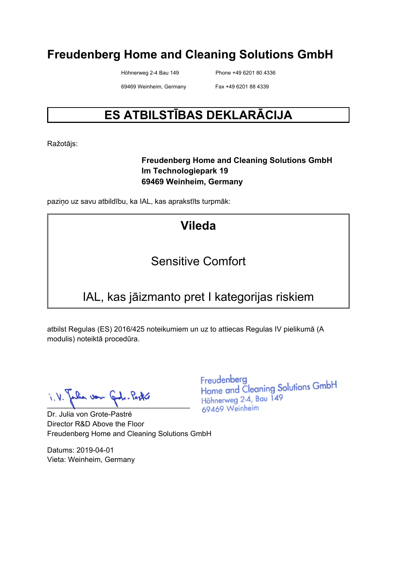Höhnerweg 2-4 Bau 149 Phone +49 6201 80 4336

69469 Weinheim, Germany Fax +49 6201 88 4339

# **ES ATBILSTĪBAS DEKLARĀCIJA**

Ražotājs:

#### **Freudenberg Home and Cleaning Solutions GmbH Im Technologiepark 19 69469 Weinheim, Germany**

paziņo uz savu atbildību, ka IAL, kas aprakstīts turpmāk:

# **Vileda**

# Sensitive Comfort

# IAL, kas jāizmanto pret I kategorijas riskiem

atbilst Regulas (ES) 2016/425 noteikumiem un uz to attiecas Regulas IV pielikumā (A modulis) noteiktā procedūra.

 $\lambda \cdot \lambda$  also van Gode-Partie

Dr. Julia von Grote-Pastré Director R&D Above the Floor Freudenberg Home and Cleaning Solutions GmbH

Datums: 2019-04-01 Vieta: Weinheim, Germany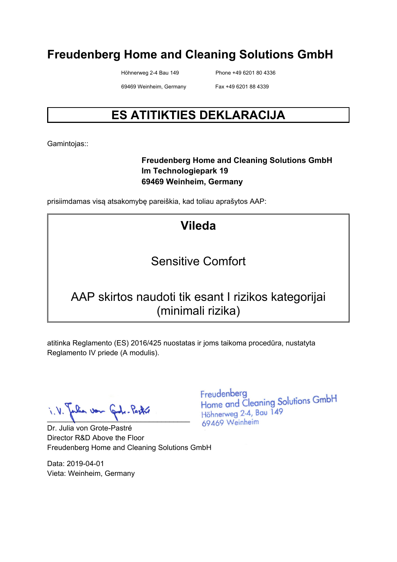Höhnerweg 2-4 Bau 149 Phone +49 6201 80 4336

69469 Weinheim, Germany Fax +49 6201 88 4339

# **ES ATITIKTIES DEKLARACIJA**

Gamintojas::

#### **Freudenberg Home and Cleaning Solutions GmbH Im Technologiepark 19 69469 Weinheim, Germany**

prisiimdamas visą atsakomybę pareiškia, kad toliau aprašytos AAP:

# **Vileda**

# Sensitive Comfort

# AAP skirtos naudoti tik esant I rizikos kategorijai (minimali rizika)

atitinka Reglamento (ES) 2016/425 nuostatas ir joms taikoma procedūra, nustatyta Reglamento IV priede (A modulis).

 $\blacksquare$ 

Dr. Julia von Grote-Pastré Director R&D Above the Floor Freudenberg Home and Cleaning Solutions GmbH

Data: 2019-04-01 Vieta: Weinheim, Germany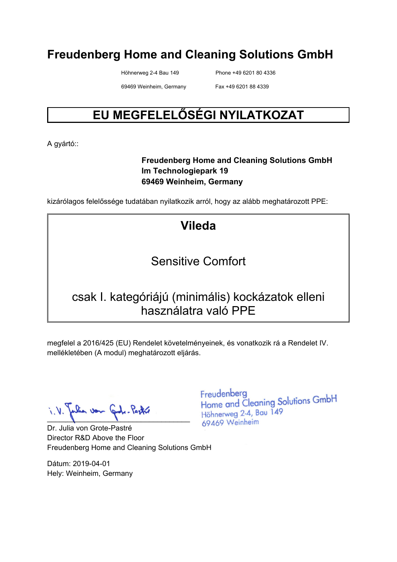Höhnerweg 2-4 Bau 149 Phone +49 6201 80 4336

69469 Weinheim, Germany Fax +49 6201 88 4339

# **EU MEGFELELŐSÉGI NYILATKOZAT**

A gyártó::

#### **Freudenberg Home and Cleaning Solutions GmbH Im Technologiepark 19 69469 Weinheim, Germany**

kizárólagos felelőssége tudatában nyilatkozik arról, hogy az alább meghatározott PPE:

# **Vileda**

# Sensitive Comfort

#### csak I. kategóriájú (minimális) kockázatok elleni használatra való PPE

megfelel a 2016/425 (EU) Rendelet követelményeinek, és vonatkozik rá a Rendelet IV. mellékletében (A modul) meghatározott eljárás.

lia von Code-Poste  $\blacksquare$ 

Dr. Julia von Grote-Pastré Director R&D Above the Floor Freudenberg Home and Cleaning Solutions GmbH

Dátum: 2019-04-01 Hely: Weinheim, Germany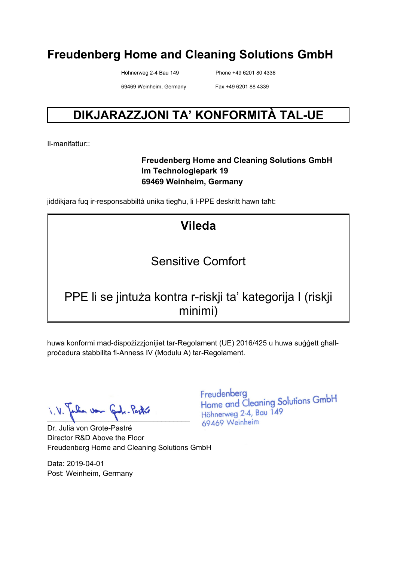Höhnerweg 2-4 Bau 149 Phone +49 6201 80 4336

69469 Weinheim, Germany Fax +49 6201 88 4339

# **DIKJARAZZJONI TA' KONFORMITÀ TAL-UE**

Il-manifattur::

#### **Freudenberg Home and Cleaning Solutions GmbH Im Technologiepark 19 69469 Weinheim, Germany**

jiddikjara fuq ir-responsabbiltà unika tiegħu, li l-PPE deskritt hawn taħt:

# **Vileda**

# Sensitive Comfort

# PPE li se jintuża kontra r-riskji ta' kategorija I (riskji minimi)

huwa konformi mad-dispożizzjonijiet tar-Regolament (UE) 2016/425 u huwa suġġett għallproċedura stabbilita fl-Anness IV (Modulu A) tar-Regolament.

lia von Cade-Pastre  $\blacksquare$ 

Dr. Julia von Grote-Pastré Director R&D Above the Floor Freudenberg Home and Cleaning Solutions GmbH

Data: 2019-04-01 Post: Weinheim, Germany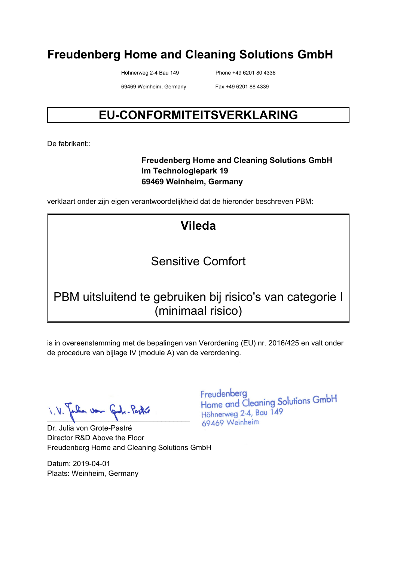Höhnerweg 2-4 Bau 149 Phone +49 6201 80 4336

69469 Weinheim, Germany Fax +49 6201 88 4339

# **EU-CONFORMITEITSVERKLARING**

De fabrikant<sup>::</sup>

#### **Freudenberg Home and Cleaning Solutions GmbH Im Technologiepark 19 69469 Weinheim, Germany**

verklaart onder zijn eigen verantwoordelijkheid dat de hieronder beschreven PBM:

# **Vileda**

# Sensitive Comfort

# PBM uitsluitend te gebruiken bij risico's van categorie I (minimaal risico)

is in overeenstemming met de bepalingen van Verordening (EU) nr. 2016/425 en valt onder de procedure van bijlage IV (module A) van de verordening.

lia von Gode-Pastre  $\blacksquare$ 

Dr. Julia von Grote-Pastré Director R&D Above the Floor Freudenberg Home and Cleaning Solutions GmbH

Datum: 2019-04-01 Plaats: Weinheim, Germany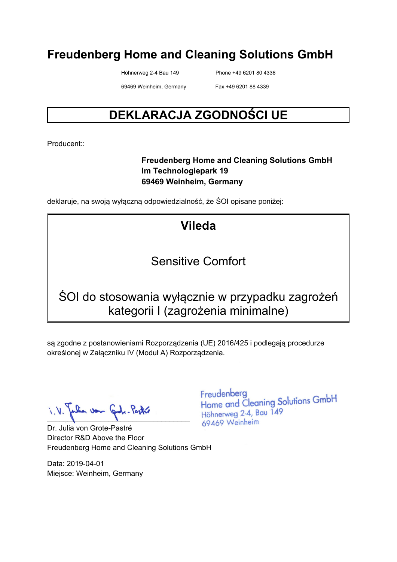Höhnerweg 2-4 Bau 149 Phone +49 6201 80 4336

69469 Weinheim, Germany Fax +49 6201 88 4339

# **DEKLARACJA ZGODNOŚCI UE**

Producent::

#### **Freudenberg Home and Cleaning Solutions GmbH Im Technologiepark 19 69469 Weinheim, Germany**

deklaruje, na swoją wyłączną odpowiedzialność, że ŚOI opisane poniżej:

# **Vileda**

# Sensitive Comfort

# ŚOI do stosowania wyłącznie w przypadku zagrożeń kategorii I (zagrożenia minimalne)

są zgodne z postanowieniami Rozporządzenia (UE) 2016/425 i podlegają procedurze określonej w Załączniku IV (Moduł A) Rozporządzenia.

 $\blacksquare$ 

Dr. Julia von Grote-Pastré Director R&D Above the Floor Freudenberg Home and Cleaning Solutions GmbH

Data: 2019-04-01 Miejsce: Weinheim, Germany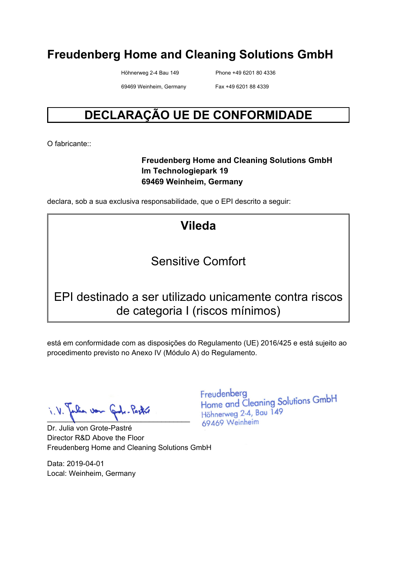Höhnerweg 2-4 Bau 149 Phone +49 6201 80 4336

69469 Weinheim, Germany Fax +49 6201 88 4339

# **DECLARAÇÃO UE DE CONFORMIDADE**

O fabricante:

#### **Freudenberg Home and Cleaning Solutions GmbH Im Technologiepark 19 69469 Weinheim, Germany**

declara, sob a sua exclusiva responsabilidade, que o EPI descrito a seguir:

**Vileda** 

#### Sensitive Comfort

#### EPI destinado a ser utilizado unicamente contra riscos de categoria I (riscos mínimos)

está em conformidade com as disposições do Regulamento (UE) 2016/425 e está sujeito ao procedimento previsto no Anexo IV (Módulo A) do Regulamento.

 $\blacksquare$ 

Dr. Julia von Grote-Pastré Director R&D Above the Floor Freudenberg Home and Cleaning Solutions GmbH

Data: 2019-04-01 Local: Weinheim, Germany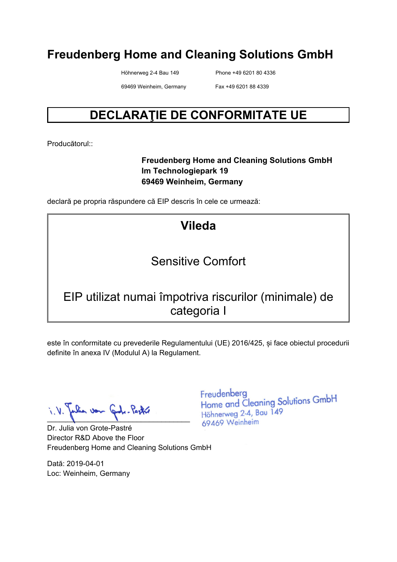Höhnerweg 2-4 Bau 149 Phone +49 6201 80 4336

69469 Weinheim, Germany Fax +49 6201 88 4339

# **DECLARAŢIE DE CONFORMITATE UE**

Producătorul::

#### **Freudenberg Home and Cleaning Solutions GmbH Im Technologiepark 19 69469 Weinheim, Germany**

declară pe propria răspundere că EIP descris în cele ce urmează:

**Vileda** 

#### Sensitive Comfort

# EIP utilizat numai împotriva riscurilor (minimale) de categoria I

este în conformitate cu prevederile Regulamentului (UE) 2016/425, și face obiectul procedurii definite în anexa IV (Modulul A) la Regulament.

lia von Grotz-Pastre  $\blacksquare$ 

Dr. Julia von Grote-Pastré Director R&D Above the Floor Freudenberg Home and Cleaning Solutions GmbH

Dată: 2019-04-01 Loc: Weinheim, Germany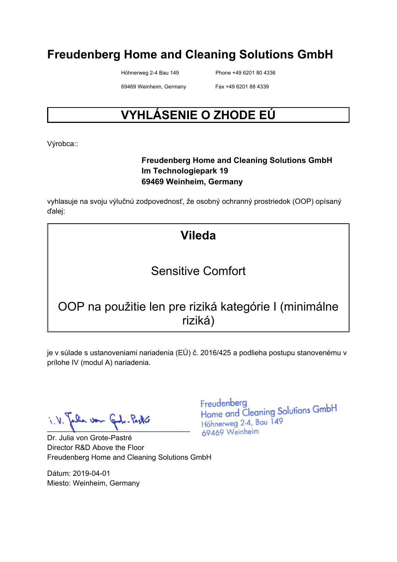Höhnerweg 2-4 Bau 149 Phone +49 6201 80 4336

69469 Weinheim, Germany Fax +49 6201 88 4339

# **VYHLÁSENIE O ZHODE EÚ**

Výrobca::

#### **Freudenberg Home and Cleaning Solutions GmbH Im Technologiepark 19 69469 Weinheim, Germany**

vyhlasuje na svoju výlučnú zodpovednosť, že osobný ochranný prostriedok (OOP) opísaný ďalej:

# **Vileda**

# Sensitive Comfort

# OOP na použitie len pre riziká kategórie I (minimálne riziká)

je v súlade s ustanoveniami nariadenia (EÚ) č. 2016/425 a podlieha postupu stanovenému v prílohe IV (modul A) nariadenia.

 $\blacksquare$ 

Dr. Julia von Grote-Pastré Director R&D Above the Floor Freudenberg Home and Cleaning Solutions GmbH

Dátum: 2019-04-01 Miesto: Weinheim, Germany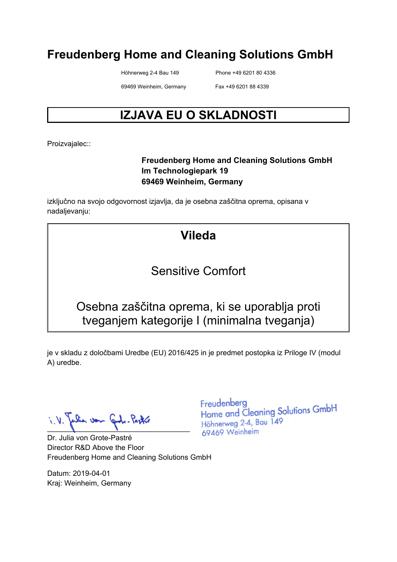Höhnerweg 2-4 Bau 149 Phone +49 6201 80 4336

69469 Weinheim, Germany Fax +49 6201 88 4339

# **IZJAVA EU O SKLADNOSTI**

Proizvajalec::

#### **Freudenberg Home and Cleaning Solutions GmbH Im Technologiepark 19 69469 Weinheim, Germany**

izključno na svojo odgovornost izjavlja, da je osebna zaščitna oprema, opisana v nadaljevanju:

# **Vileda**

#### Sensitive Comfort

#### Osebna zaščitna oprema, ki se uporablja proti tveganjem kategorije I (minimalna tveganja)

je v skladu z določbami Uredbe (EU) 2016/425 in je predmet postopka iz Priloge IV (modul A) uredbe.

n von  $\blacksquare$ 

Dr. Julia von Grote-Pastré Director R&D Above the Floor Freudenberg Home and Cleaning Solutions GmbH

Datum: 2019-04-01 Kraj: Weinheim, Germany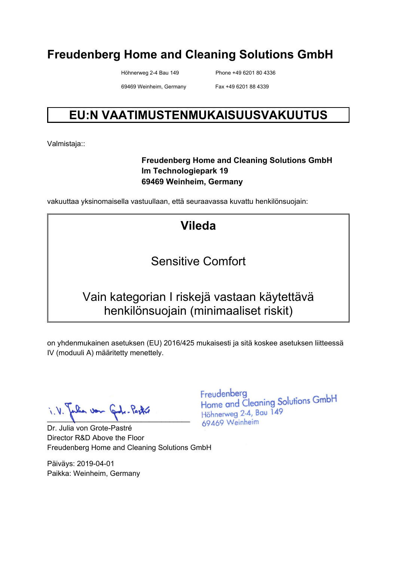Höhnerweg 2-4 Bau 149 Phone +49 6201 80 4336

69469 Weinheim, Germany Fax +49 6201 88 4339

# **EU:N VAATIMUSTENMUKAISUUSVAKUUTUS**

Valmistaja::

#### **Freudenberg Home and Cleaning Solutions GmbH Im Technologiepark 19 69469 Weinheim, Germany**

vakuuttaa yksinomaisella vastuullaan, että seuraavassa kuvattu henkilönsuojain:

**Vileda** 

# Sensitive Comfort

# Vain kategorian I riskejä vastaan käytettävä henkilönsuojain (minimaaliset riskit)

on yhdenmukainen asetuksen (EU) 2016/425 mukaisesti ja sitä koskee asetuksen liitteessä IV (moduuli A) määritetty menettely.

falia von Gode-Pastre

Dr. Julia von Grote-Pastré Director R&D Above the Floor Freudenberg Home and Cleaning Solutions GmbH

Päiväys: 2019-04-01 Paikka: Weinheim, Germany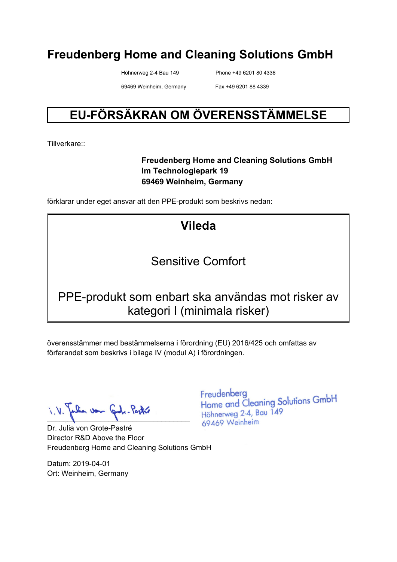Höhnerweg 2-4 Bau 149 Phone +49 6201 80 4336

69469 Weinheim, Germany Fax +49 6201 88 4339

# **EU-FÖRSÄKRAN OM ÖVERENSSTÄMMELSE**

Tillverkare::

#### **Freudenberg Home and Cleaning Solutions GmbH Im Technologiepark 19 69469 Weinheim, Germany**

förklarar under eget ansvar att den PPE-produkt som beskrivs nedan:

**Vileda** 

#### Sensitive Comfort

#### PPE-produkt som enbart ska användas mot risker av kategori I (minimala risker)

överensstämmer med bestämmelserna i förordning (EU) 2016/425 och omfattas av förfarandet som beskrivs i bilaga IV (modul A) i förordningen.

 $\blacksquare$ 

Dr. Julia von Grote-Pastré Director R&D Above the Floor Freudenberg Home and Cleaning Solutions GmbH

Datum: 2019-04-01 Ort: Weinheim, Germany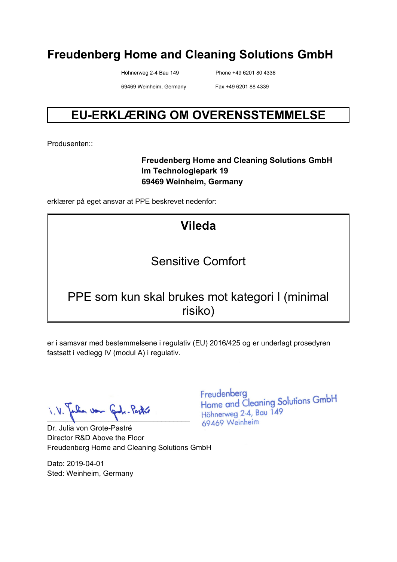Höhnerweg 2-4 Bau 149 Phone +49 6201 80 4336

69469 Weinheim, Germany Fax +49 6201 88 4339

# **EU-ERKLÆRING OM OVERENSSTEMMELSE**

Produsenten::

#### **Freudenberg Home and Cleaning Solutions GmbH Im Technologiepark 19 69469 Weinheim, Germany**

erklærer på eget ansvar at PPE beskrevet nedenfor:

# **Vileda**

# Sensitive Comfort

#### PPE som kun skal brukes mot kategori I (minimal risiko)

er i samsvar med bestemmelsene i regulativ (EU) 2016/425 og er underlagt prosedyren fastsatt i vedlegg IV (modul A) i regulativ.

 $\blacksquare$ 

Dr. Julia von Grote-Pastré Director R&D Above the Floor Freudenberg Home and Cleaning Solutions GmbH

Dato: 2019-04-01 Sted: Weinheim, Germany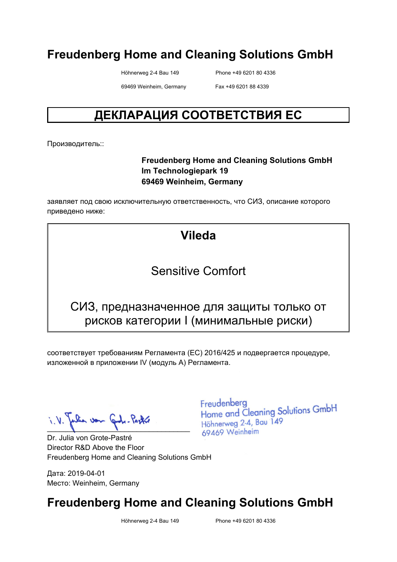Höhnerweg 2-4 Bau 149 Phone +49 6201 80 4336

69469 Weinheim, Germany Fax +49 6201 88 4339

# **ДЕКЛАРАЦИЯ СООТВЕТСТВИЯ ЕС**

Производитель::

#### **Freudenberg Home and Cleaning Solutions GmbH Im Technologiepark 19 69469 Weinheim, Germany**

заявляет под свою исключительную ответственность, что СИЗ, описание которого приведено ниже:

#### **Vileda**

#### Sensitive Comfort

#### СИЗ, предназначенное для защиты только от рисков категории I (минимальные риски)

соответствует требованиям Регламента (ЕС) 2016/425 и подвергается процедуре, изложенной в приложении IV (модуль A) Регламента.

when von Carle-Pastre  $\blacksquare$ 

Dr. Julia von Grote-Pastré Director R&D Above the Floor Freudenberg Home and Cleaning Solutions GmbH

Дата: 2019-04-01 Место: Weinheim, Germany Freudenberg Home and Cleaning Solutions GmbH Höhnerweg 2-4, Bau 149 69469 Weinheim

# **Freudenberg Home and Cleaning Solutions GmbH**

Höhnerweg 2-4 Bau 149 Phone +49 6201 80 4336